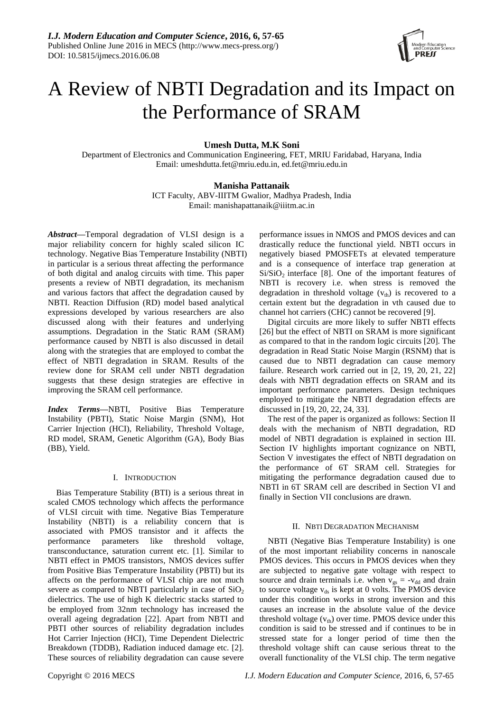

# A Review of NBTI Degradation and its Impact on the Performance of SRAM

# **Umesh Dutta, M.K Soni**

Department of Electronics and Communication Engineering, FET, MRIU Faridabad, Haryana, India Email: [umeshdutta.fet@mriu.edu.in,](mailto:umeshdutta.fet@mriu.edu.in) [ed.fet@mriu.edu.in](mailto:ed.fet@mriu.edu.in)

# **Manisha Pattanaik**

ICT Faculty, ABV-IIITM Gwalior, Madhya Pradesh, India Email: manishapattanaik@iiitm.ac.in

*Abstract***—**Temporal degradation of VLSI design is a major reliability concern for highly scaled silicon IC technology. Negative Bias Temperature Instability (NBTI) in particular is a serious threat affecting the performance of both digital and analog circuits with time. This paper presents a review of NBTI degradation, its mechanism and various factors that affect the degradation caused by NBTI. Reaction Diffusion (RD) model based analytical expressions developed by various researchers are also discussed along with their features and underlying assumptions. Degradation in the Static RAM (SRAM) performance caused by NBTI is also discussed in detail along with the strategies that are employed to combat the effect of NBTI degradation in SRAM. Results of the review done for SRAM cell under NBTI degradation suggests that these design strategies are effective in improving the SRAM cell performance.

*Index Terms—*NBTI, Positive Bias Temperature Instability (PBTI), Static Noise Margin (SNM), Hot Carrier Injection (HCI), Reliability, Threshold Voltage, RD model, SRAM, Genetic Algorithm (GA), Body Bias (BB), Yield.

## I. INTRODUCTION

Bias Temperature Stability (BTI) is a serious threat in scaled CMOS technology which affects the performance of VLSI circuit with time. Negative Bias Temperature Instability (NBTI) is a reliability concern that is associated with PMOS transistor and it affects the performance parameters like threshold voltage, transconductance, saturation current etc. [1]. Similar to NBTI effect in PMOS transistors, NMOS devices suffer from Positive Bias Temperature Instability (PBTI) but its affects on the performance of VLSI chip are not much severe as compared to NBTI particularly in case of  $SiO<sub>2</sub>$ dielectrics. The use of high K dielectric stacks started to be employed from 32nm technology has increased the overall ageing degradation [22]. Apart from NBTI and PBTI other sources of reliability degradation includes Hot Carrier Injection (HCI), Time Dependent Dielectric Breakdown (TDDB), Radiation induced damage etc. [2]. These sources of reliability degradation can cause severe performance issues in NMOS and PMOS devices and can drastically reduce the functional yield. NBTI occurs in negatively biased PMOSFETs at elevated temperature and is a consequence of interface trap generation at  $Si/SiO<sub>2</sub>$  interface [8]. One of the important features of NBTI is recovery i.e. when stress is removed the degradation in threshold voltage  $(v<sub>th</sub>)$  is recovered to a certain extent but the degradation in vth caused due to channel hot carriers (CHC) cannot be recovered [9].

Digital circuits are more likely to suffer NBTI effects [26] but the effect of NBTI on SRAM is more significant as compared to that in the random logic circuits [20]. The degradation in Read Static Noise Margin (RSNM) that is caused due to NBTI degradation can cause memory failure. Research work carried out in [2, 19, 20, 21, 22] deals with NBTI degradation effects on SRAM and its important performance parameters. Design techniques employed to mitigate the NBTI degradation effects are discussed in [19, 20, 22, 24, 33].

The rest of the paper is organized as follows: Section II deals with the mechanism of NBTI degradation, RD model of NBTI degradation is explained in section III. Section IV highlights important cognizance on NBTI, Section V investigates the effect of NBTI degradation on the performance of 6T SRAM cell. Strategies for mitigating the performance degradation caused due to NBTI in 6T SRAM cell are described in Section VI and finally in Section VII conclusions are drawn.

# II. NBTI DEGRADATION MECHANISM

NBTI (Negative Bias Temperature Instability) is one of the most important reliability concerns in nanoscale PMOS devices. This occurs in PMOS devices when they are subjected to negative gate voltage with respect to source and drain terminals i.e. when  $v_{gs} = -v_{dd}$  and drain to source voltage  $v_{ds}$  is kept at 0 volts. The PMOS device under this condition works in strong inversion and this causes an increase in the absolute value of the device threshold voltage  $(v<sub>th</sub>)$  over time. PMOS device under this condition is said to be stressed and if continues to be in stressed state for a longer period of time then the threshold voltage shift can cause serious threat to the overall functionality of the VLSI chip. The term negative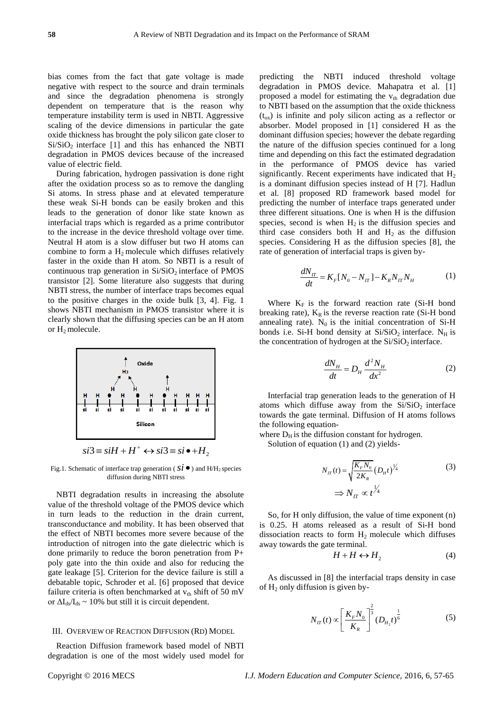bias comes from the fact that gate voltage is made negative with respect to the source and drain terminals and since the degradation phenomena is strongly dependent on temperature that is the reason why temperature instability term is used in NBTI. Aggressive scaling of the device dimensions in particular the gate oxide thickness has brought the poly silicon gate closer to  $Si/SiO<sub>2</sub>$  interface [1] and this has enhanced the NBTI degradation in PMOS devices because of the increased value of electric field.

During fabrication, hydrogen passivation is done right after the oxidation process so as to remove the dangling Si atoms. In stress phase and at elevated temperature these weak Si-H bonds can be easily broken and this leads to the generation of donor like state known as interfacial traps which is regarded as a prime contributor to the increase in the device threshold voltage over time. Neutral H atom is a slow diffuser but two H atoms can combine to form a  $H_2$  molecule which diffuses relatively faster in the oxide than H atom. So NBTI is a result of continuous trap generation in  $Si/SiO<sub>2</sub>$  interface of PMOS transistor [2]. Some literature also suggests that during NBTI stress, the number of interface traps becomes equal to the positive charges in the oxide bulk [3, 4]. Fig. 1 shows NBTI mechanism in PMOS transistor where it is clearly shown that the diffusing species can be an H atom or  $H_2$  molecule.



Fig.1. Schematic of interface trap generation ( $\dot{si}$   $\bullet$  ) and H/H<sub>2</sub> species diffusion during NBTI stress

NBTI degradation results in increasing the absolute value of the threshold voltage of the PMOS device which in turn leads to the reduction in the drain current, transconductance and mobility. It has been observed that the effect of NBTI becomes more severe because of the introduction of nitrogen into the gate dielectric which is done primarily to reduce the boron penetration from P+ poly gate into the thin oxide and also for reducing the gate leakage [5]. Criterion for the device failure is still a debatable topic, Schroder et al. [6] proposed that device failure criteria is often benchmarked at  $v_{th}$  shift of 50 mV or  $\Delta I_{ds}/I_{ds} \sim 10\%$  but still it is circuit dependent.

#### III. OVERVIEW OF REACTION DIFFUSION (RD) MODEL

Reaction Diffusion framework based model of NBTI degradation is one of the most widely used model for

predicting the NBTI induced threshold voltage degradation in PMOS device. Mahapatra et al. [1] proposed a model for estimating the  $v_{th}$  degradation due to NBTI based on the assumption that the oxide thickness  $(t_{ox})$  is infinite and poly silicon acting as a reflector or absorber. Model proposed in [1] considered H as the dominant diffusion species; however the debate regarding the nature of the diffusion species continued for a long time and depending on this fact the estimated degradation in the performance of PMOS device has varied significantly. Recent experiments have indicated that  $H_2$ is a dominant diffusion species instead of H [7]. Hadlun et al. [8] proposed RD framework based model for predicting the number of interface traps generated under three different situations. One is when H is the diffusion species, second is when  $H_2$  is the diffusion species and third case considers both H and  $H_2$  as the diffusion species. Considering H as the diffusion species [8], the rate of generation of interfacial traps is given by-

$$
\frac{dN_{\pi}}{dt} = K_{F}[N_{0} - N_{\pi}] - K_{R}N_{\pi}N_{H}
$$
 (1)

Where  $K_F$  is the forward reaction rate (Si-H bond breaking rate),  $K_R$  is the reverse reaction rate (Si-H bond annealing rate).  $N_0$  is the initial concentration of Si-H bonds i.e. Si-H bond density at  $Si/SiO<sub>2</sub>$  interface. N<sub>H</sub> is the concentration of hydrogen at the  $Si/SiO<sub>2</sub>$  interface.

$$
\frac{dN_H}{dt} = D_H \frac{d^2 N_H}{dx^2} \tag{2}
$$

Interfacial trap generation leads to the generation of H atoms which diffuse away from the  $Si/SiO<sub>2</sub>$  interface towards the gate terminal. Diffusion of H atoms follows the following equation-

where  $D_H$  is the diffusion constant for hydrogen.

Solution of equation (1) and (2) yields-

$$
N_{\pi}(t) = \sqrt{\frac{K_{F}N_{0}}{2K_{R}}}(D_{\mu}t)^{\frac{1}{4}}
$$
\n
$$
\Rightarrow N_{\pi} \propto t^{\frac{1}{4}}
$$
\n(3)

So, for H only diffusion, the value of time exponent (n) is 0.25. H atoms released as a result of Si-H bond dissociation reacts to form  $H_2$  molecule which diffuses away towards the gate terminal.

$$
H + H \leftrightarrow H_2 \tag{4}
$$

As discussed in [8] the interfacial traps density in case of  $H_2$  only diffusion is given by-

$$
N_{IT}(t) \propto \left[\frac{K_F N_0}{K_R}\right]^{\frac{2}{3}} (D_{H_2}t)^{\frac{1}{6}} \tag{5}
$$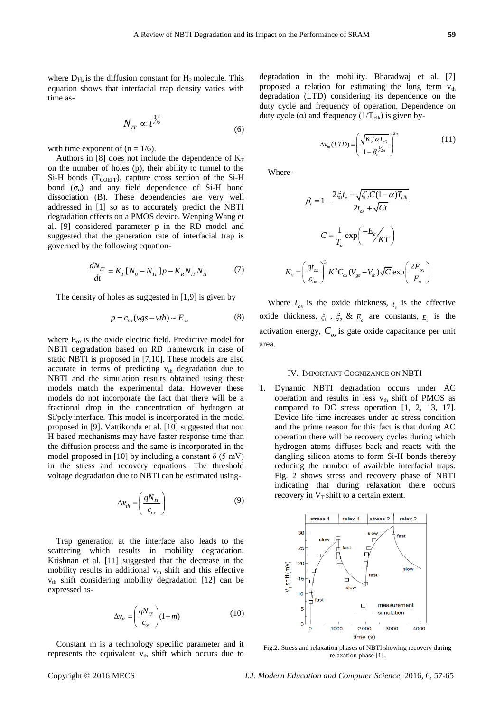where  $D_{H2}$  is the diffusion constant for  $H_2$  molecule. This equation shows that interfacial trap density varies with time as-

$$
N_{IT} \propto t^{\frac{1}{6}} \tag{6}
$$

with time exponent of  $(n = 1/6)$ .

Authors in [8] does not include the dependence of  $K_F$ on the number of holes (p), their ability to tunnel to the  $Si-H$  bonds ( $T_{COEFF}$ ), capture cross section of the Si-H bond  $(\sigma_0)$  and any field dependence of Si-H bond dissociation (B). These dependencies are very well addressed in [1] so as to accurately predict the NBTI degradation effects on a PMOS device. Wenping Wang et al. [9] considered parameter p in the RD model and suggested that the generation rate of interfacial trap is governed by the following equation-

$$
\frac{dN_{tt}}{dt} = K_F [N_0 - N_{tt}] p - K_R N_{tt} N_H
$$
 (7)

The density of holes as suggested in [1,9] is given by

$$
p = c_{ox} (vgs - vrh) \sim E_{ox}
$$
 (8)

where  $E_{\text{ox}}$  is the oxide electric field. Predictive model for NBTI degradation based on RD framework in case of static NBTI is proposed in [7,10]. These models are also accurate in terms of predicting  $v_{th}$  degradation due to NBTI and the simulation results obtained using these models match the experimental data. However these models do not incorporate the fact that there will be a fractional drop in the concentration of hydrogen at Si/poly interface. This model is incorporated in the model proposed in [9]. Vattikonda et al. [10] suggested that non H based mechanisms may have faster response time than the diffusion process and the same is incorporated in the model proposed in [10] by including a constant  $\delta$  (5 mV) in the stress and recovery equations. The threshold voltage degradation due to NBTI can be estimated using-

$$
\Delta v_{th} = \left(\frac{qN_{IT}}{c_{ox}}\right) \tag{9}
$$

Trap generation at the interface also leads to the scattering which results in mobility degradation. Krishnan et al. [11] suggested that the decrease in the mobility results in additional  $v_{th}$  shift and this effective  $v<sub>th</sub>$  shift considering mobility degradation [12] can be expressed as-

$$
\Delta v_{th} = \left(\frac{qN_{\pi}}{c_{\alpha x}}\right)(1+m) \tag{10}
$$

Constant m is a technology specific parameter and it represents the equivalent  $v_{th}$  shift which occurs due to

degradation in the mobility. Bharadwaj et al. [7] proposed a relation for estimating the long term  $v_{th}$ degradation (LTD) considering its dependence on the duty cycle and frequency of operation. Dependence on duty cycle (α) and frequency  $(1/T_{\text{clk}})$  is given by-

$$
\Delta v_{th}(LTD) = \left(\frac{\sqrt{K_v^2 \alpha T_{ck}}}{1 - \beta_i^{\frac{1}{2n}}}\right)^{2n}
$$
 (11)

Where-

$$
\beta_{t} = 1 - \frac{2\xi_{1}t_{e} + \sqrt{\xi_{2}C(1-\alpha)T_{clk}}}{2t_{ox} + \sqrt{C}t}
$$

$$
C = \frac{1}{T_{o}} \exp\left(\frac{-E_{a}}{\sqrt{KT}}\right)
$$

$$
K_{v} = \left(\frac{qt_{ox}}{\varepsilon_{ox}}\right)^{3} K^{2}C_{ox}(V_{gs} - V_{th})\sqrt{C}\exp\left(\frac{2E_{ox}}{E_{o}}\right)
$$

Where  $t_{ox}$  is the oxide thickness,  $t_e$  is the effective oxide thickness,  $\xi_1$ ,  $\xi_2$  &  $E_0$  are constants,  $E_a$  is the activation energy,  $C_{ox}$  is gate oxide capacitance per unit area.

#### IV. IMPORTANT COGNIZANCE ON NBTI

1. Dynamic NBTI degradation occurs under AC operation and results in less  $v_{th}$  shift of PMOS as compared to DC stress operation [1, 2, 13, 17]. Device life time increases under ac stress condition and the prime reason for this fact is that during AC operation there will be recovery cycles during which hydrogen atoms diffuses back and reacts with the dangling silicon atoms to form Si-H bonds thereby reducing the number of available interfacial traps. Fig. 2 shows stress and recovery phase of NBTI indicating that during relaxation there occurs recovery in  $V_T$  shift to a certain extent.



Fig.2. Stress and relaxation phases of NBTI showing recovery during relaxation phase [1].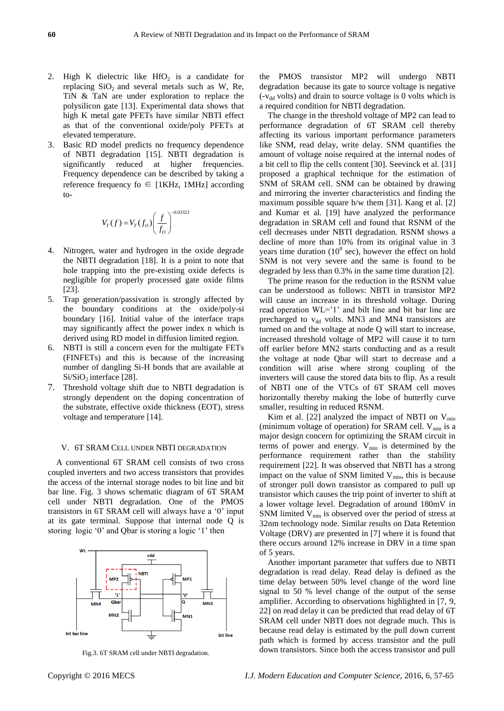- 2. High K dielectric like  $HfO<sub>2</sub>$  is a candidate for replacing  $SiO<sub>2</sub>$  and several metals such as W, Re, TiN & TaN are under exploration to replace the polysilicon gate [13]. Experimental data shows that high K metal gate PFETs have similar NBTI effect as that of the conventional oxide/poly PFETs at elevated temperature.
- 3. Basic RD model predicts no frequency dependence of NBTI degradation [15]. NBTI degradation is significantly reduced at higher frequencies. Frequency dependence can be described by taking a reference frequency fo  $\in$  [1KHz, 1MHz] according to-

$$
V_T(f) = V_T(f_O) \left(\frac{f}{f_O}\right)^{-0.03323}
$$

- 4. Nitrogen, water and hydrogen in the oxide degrade the NBTI degradation [18]. It is a point to note that hole trapping into the pre-existing oxide defects is negligible for properly processed gate oxide films [23].
- 5. Trap generation/passivation is strongly affected by the boundary conditions at the oxide/poly-si boundary [16]. Initial value of the interface traps may significantly affect the power index n which is derived using RD model in diffusion limited region.
- 6. NBTI is still a concern even for the multigate FETs (FINFETs) and this is because of the increasing number of dangling Si-H bonds that are available at  $Si/SiO<sub>2</sub>$  interface [28].
- 7. Threshold voltage shift due to NBTI degradation is strongly dependent on the doping concentration of the substrate, effective oxide thickness (EOT), stress voltage and temperature [14].

### V. 6T SRAM CELL UNDER NBTI DEGRADATION

A conventional 6T SRAM cell consists of two cross coupled inverters and two access transistors that provides the access of the internal storage nodes to bit line and bit bar line. Fig. 3 shows schematic diagram of 6T SRAM cell under NBTI degradation. One of the PMOS transistors in 6T SRAM cell will always have a "0" input at its gate terminal. Suppose that internal node Q is storing logic '0' and Qbar is storing a logic '1' then



Fig.3. 6T SRAM cell under NBTI degradation.

the PMOS transistor MP2 will undergo NBTI degradation because its gate to source voltage is negative  $(-v_{dd}$  volts) and drain to source voltage is 0 volts which is a required condition for NBTI degradation.

The change in the threshold voltage of MP2 can lead to performance degradation of 6T SRAM cell thereby affecting its various important performance parameters like SNM, read delay, write delay. SNM quantifies the amount of voltage noise required at the internal nodes of a bit cell to flip the cells content [30]. Seevinck et al. [31] proposed a graphical technique for the estimation of SNM of SRAM cell. SNM can be obtained by drawing and mirroring the inverter characteristics and finding the maximum possible square b/w them [31]. Kang et al. [2] and Kumar et al. [19] have analyzed the performance degradation in SRAM cell and found that RSNM of the cell decreases under NBTI degradation. RSNM shows a decline of more than 10% from its original value in 3 years time duration  $(10^8 \text{ sec})$ , however the effect on hold SNM is not very severe and the same is found to be degraded by less than 0.3% in the same time duration [2].

The prime reason for the reduction in the RSNM value can be understood as follows: NBTI in transistor MP2 will cause an increase in its threshold voltage. During read operation  $WL=1'$  and bilt line and bit bar line are precharged to  $v_{dd}$  volts. MN3 and MN4 transistors are turned on and the voltage at node Q will start to increase, increased threshold voltage of MP2 will cause it to turn off earlier before MN2 starts conducting and as a result the voltage at node Qbar will start to decrease and a condition will arise where strong coupling of the inverters will cause the stored data bits to flip. As a result of NBTI one of the VTCs of 6T SRAM cell moves horizontally thereby making the lobe of butterfly curve smaller, resulting in reduced RSNM.

Kim et al. [22] analyzed the impact of NBTI on  $V_{min}$ (minimum voltage of operation) for SRAM cell.  $V_{min}$  is a major design concern for optimizing the SRAM circuit in terms of power and energy.  $V_{min}$  is determined by the performance requirement rather than the stability requirement [22]. It was observed that NBTI has a strong impact on the value of SNM limited  $V_{\text{min}}$ , this is because of stronger pull down transistor as compared to pull up transistor which causes the trip point of inverter to shift at a lower voltage level. Degradation of around 180mV in SNM limited  $V_{\text{min}}$  is observed over the period of stress at 32nm technology node. Similar results on Data Retention Voltage (DRV) are presented in [7] where it is found that there occurs around 12% increase in DRV in a time span of 5 years.

Another important parameter that suffers due to NBTI degradation is read delay. Read delay is defined as the time delay between 50% level change of the word line signal to 50 % level change of the output of the sense amplifier. According to observations highlighted in [7, 9, 22] on read delay it can be predicted that read delay of 6T SRAM cell under NBTI does not degrade much. This is because read delay is estimated by the pull down current path which is formed by access transistor and the pull down transistors. Since both the access transistor and pull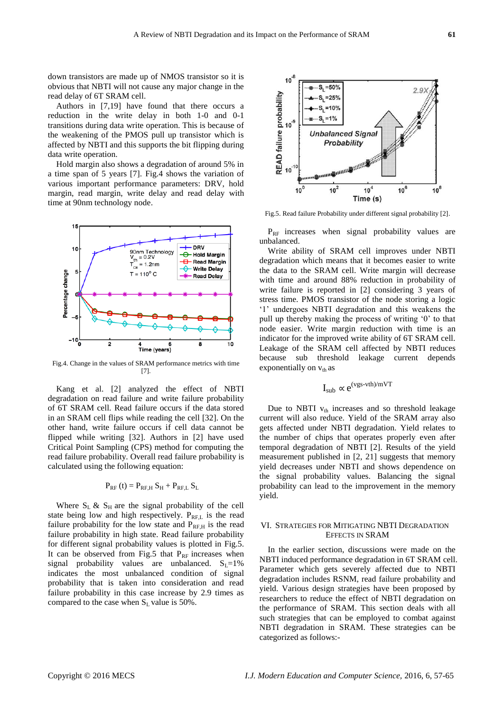down transistors are made up of NMOS transistor so it is obvious that NBTI will not cause any major change in the read delay of 6T SRAM cell.

Authors in [7,19] have found that there occurs a reduction in the write delay in both 1-0 and 0-1 transitions during data write operation. This is because of the weakening of the PMOS pull up transistor which is affected by NBTI and this supports the bit flipping during data write operation.

Hold margin also shows a degradation of around 5% in a time span of 5 years [7]. Fig.4 shows the variation of various important performance parameters: DRV, hold margin, read margin, write delay and read delay with time at 90nm technology node.



Fig.4. Change in the values of SRAM performance metrics with time [7].

Kang et al. [2] analyzed the effect of NBTI degradation on read failure and write failure probability of 6T SRAM cell. Read failure occurs if the data stored in an SRAM cell flips while reading the cell [32]. On the other hand, write failure occurs if cell data cannot be flipped while writing [32]. Authors in [2] have used Critical Point Sampling (CPS) method for computing the read failure probability. Overall read failure probability is calculated using the following equation:

# $P_{RF}$  (t) =  $P_{RF,H} S_H + P_{RF,L} S_L$

Where  $S_L \& S_H$  are the signal probability of the cell state being low and high respectively.  $P_{\text{REL}}$  is the read failure probability for the low state and  $P_{RF,H}$  is the read failure probability in high state. Read failure probability for different signal probability values is plotted in Fig.5. It can be observed from Fig.5 that  $P_{RF}$  increases when signal probability values are unbalanced.  $S_L=1\%$ indicates the most unbalanced condition of signal probability that is taken into consideration and read failure probability in this case increase by 2.9 times as compared to the case when  $S_L$  value is 50%.



Fig.5. Read failure Probability under different signal probability [2].

 $P_{RF}$  increases when signal probability values are unbalanced.

Write ability of SRAM cell improves under NBTI degradation which means that it becomes easier to write the data to the SRAM cell. Write margin will decrease with time and around 88% reduction in probability of write failure is reported in [2] considering 3 years of stress time. PMOS transistor of the node storing a logic "1" undergoes NBTI degradation and this weakens the pull up thereby making the process of writing "0" to that node easier. Write margin reduction with time is an indicator for the improved write ability of 6T SRAM cell. Leakage of the SRAM cell affected by NBTI reduces because sub threshold leakage current depends exponentially on  $v_{th}$  as

$$
I_{sub} \propto e^{(vgs-vth)/mVT}
$$

Due to NBTI  $v_{th}$  increases and so threshold leakage current will also reduce. Yield of the SRAM array also gets affected under NBTI degradation. Yield relates to the number of chips that operates properly even after temporal degradation of NBTI [2]. Results of the yield measurement published in [2, 21] suggests that memory yield decreases under NBTI and shows dependence on the signal probability values. Balancing the signal probability can lead to the improvement in the memory yield.

## VI. STRATEGIES FOR MITIGATING NBTI DEGRADATION EFFECTS IN SRAM

In the earlier section, discussions were made on the NBTI induced performance degradation in 6T SRAM cell. Parameter which gets severely affected due to NBTI degradation includes RSNM, read failure probability and yield. Various design strategies have been proposed by researchers to reduce the effect of NBTI degradation on the performance of SRAM. This section deals with all such strategies that can be employed to combat against NBTI degradation in SRAM. These strategies can be categorized as follows:-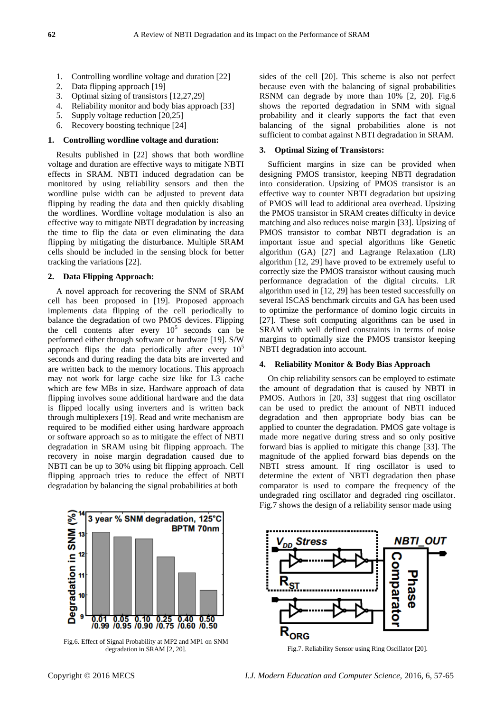- 1. Controlling wordline voltage and duration [22]
- 2. Data flipping approach [19]
- 3. Optimal sizing of transistors [12,27,29]
- 4. Reliability monitor and body bias approach [33]
- 5. Supply voltage reduction [20,25]
- 6. Recovery boosting technique [24]

### **1. Controlling wordline voltage and duration:**

Results published in [22] shows that both wordline voltage and duration are effective ways to mitigate NBTI effects in SRAM. NBTI induced degradation can be monitored by using reliability sensors and then the wordline pulse width can be adjusted to prevent data flipping by reading the data and then quickly disabling the wordlines. Wordline voltage modulation is also an effective way to mitigate NBTI degradation by increasing the time to flip the data or even eliminating the data flipping by mitigating the disturbance. Multiple SRAM cells should be included in the sensing block for better tracking the variations [22].

#### **2. Data Flipping Approach:**

A novel approach for recovering the SNM of SRAM cell has been proposed in [19]. Proposed approach implements data flipping of the cell periodically to balance the degradation of two PMOS devices. Flipping the cell contents after every  $10^5$  seconds can be performed either through software or hardware [19]. S/W approach flips the data periodically after every  $10<sup>5</sup>$ seconds and during reading the data bits are inverted and are written back to the memory locations. This approach may not work for large cache size like for L3 cache which are few MBs in size. Hardware approach of data flipping involves some additional hardware and the data is flipped locally using inverters and is written back through multiplexers [19]. Read and write mechanism are required to be modified either using hardware approach or software approach so as to mitigate the effect of NBTI degradation in SRAM using bit flipping approach. The recovery in noise margin degradation caused due to NBTI can be up to 30% using bit flipping approach. Cell flipping approach tries to reduce the effect of NBTI degradation by balancing the signal probabilities at both



Fig.6. Effect of Signal Probability at MP2 and MP1 on SNM degradation in SRAM [2, 20].

sides of the cell [20]. This scheme is also not perfect because even with the balancing of signal probabilities RSNM can degrade by more than 10% [2, 20]. Fig.6 shows the reported degradation in SNM with signal probability and it clearly supports the fact that even balancing of the signal probabilities alone is not sufficient to combat against NBTI degradation in SRAM.

## **3. Optimal Sizing of Transistors:**

Sufficient margins in size can be provided when designing PMOS transistor, keeping NBTI degradation into consideration. Upsizing of PMOS transistor is an effective way to counter NBTI degradation but upsizing of PMOS will lead to additional area overhead. Upsizing the PMOS transistor in SRAM creates difficulty in device matching and also reduces noise margin [33]. Upsizing of PMOS transistor to combat NBTI degradation is an important issue and special algorithms like Genetic algorithm (GA) [27] and Lagrange Relaxation (LR) algorithm [12, 29] have proved to be extremely useful to correctly size the PMOS transistor without causing much performance degradation of the digital circuits. LR algorithm used in [12, 29] has been tested successfully on several ISCAS benchmark circuits and GA has been used to optimize the performance of domino logic circuits in [27]. These soft computing algorithms can be used in SRAM with well defined constraints in terms of noise margins to optimally size the PMOS transistor keeping NBTI degradation into account.

#### **4. Reliability Monitor & Body Bias Approach**

On chip reliability sensors can be employed to estimate the amount of degradation that is caused by NBTI in PMOS. Authors in [20, 33] suggest that ring oscillator can be used to predict the amount of NBTI induced degradation and then appropriate body bias can be applied to counter the degradation. PMOS gate voltage is made more negative during stress and so only positive forward bias is applied to mitigate this change [33]. The magnitude of the applied forward bias depends on the NBTI stress amount. If ring oscillator is used to determine the extent of NBTI degradation then phase comparator is used to compare the frequency of the undegraded ring oscillator and degraded ring oscillator. Fig.7 shows the design of a reliability sensor made using



Fig.7. Reliability Sensor using Ring Oscillator [20].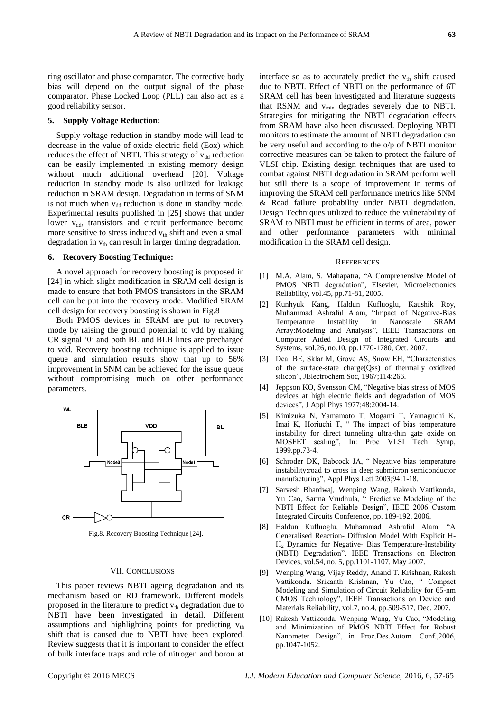ring oscillator and phase comparator. The corrective body bias will depend on the output signal of the phase comparator. Phase Locked Loop (PLL) can also act as a good reliability sensor.

#### **5. Supply Voltage Reduction:**

Supply voltage reduction in standby mode will lead to decrease in the value of oxide electric field (Eox) which reduces the effect of NBTI. This strategy of  $v_{dd}$  reduction can be easily implemented in existing memory design without much additional overhead [20]. Voltage reduction in standby mode is also utilized for leakage reduction in SRAM design. Degradation in terms of SNM is not much when  $v_{dd}$  reduction is done in standby mode. Experimental results published in [25] shows that under lower v<sub>dd</sub>, transistors and circuit performance become more sensitive to stress induced  $v_{th}$  shift and even a small degradation in  $v_{th}$  can result in larger timing degradation.

#### **6. Recovery Boosting Technique:**

A novel approach for recovery boosting is proposed in [24] in which slight modification in SRAM cell design is made to ensure that both PMOS transistors in the SRAM cell can be put into the recovery mode. Modified SRAM cell design for recovery boosting is shown in Fig.8

Both PMOS devices in SRAM are put to recovery mode by raising the ground potential to vdd by making CR signal "0" and both BL and BLB lines are precharged to vdd. Recovery boosting technique is applied to issue queue and simulation results show that up to 56% improvement in SNM can be achieved for the issue queue without compromising much on other performance parameters.



Fig.8. Recovery Boosting Technique [24].

#### VII. CONCLUSIONS

This paper reviews NBTI ageing degradation and its mechanism based on RD framework. Different models proposed in the literature to predict  $v_{th}$  degradation due to NBTI have been investigated in detail. Different assumptions and highlighting points for predicting  $v_{th}$ shift that is caused due to NBTI have been explored. Review suggests that it is important to consider the effect of bulk interface traps and role of nitrogen and boron at

interface so as to accurately predict the  $v_{th}$  shift caused due to NBTI. Effect of NBTI on the performance of 6T SRAM cell has been investigated and literature suggests that RSNM and  $v_{\text{min}}$  degrades severely due to NBTI. Strategies for mitigating the NBTI degradation effects from SRAM have also been discussed. Deploying NBTI monitors to estimate the amount of NBTI degradation can be very useful and according to the o/p of NBTI monitor corrective measures can be taken to protect the failure of VLSI chip. Existing design techniques that are used to combat against NBTI degradation in SRAM perform well but still there is a scope of improvement in terms of improving the SRAM cell performance metrics like SNM & Read failure probability under NBTI degradation. Design Techniques utilized to reduce the vulnerability of SRAM to NBTI must be efficient in terms of area, power and other performance parameters with minimal modification in the SRAM cell design.

#### **REFERENCES**

- [1] M.A. Alam, S. Mahapatra, "A Comprehensive Model of PMOS NBTI degradation", Elsevier, Microelectronics Reliability, vol.45, pp.71-81, 2005.
- [2] Kunhyuk Kang, Haldun Kufluoglu, Kaushik Roy, Muhammad Ashraful Alam, "Impact of Negative-Bias Temperature Instability in Nanoscale SRAM Array:Modeling and Analysis", IEEE Transactions on Computer Aided Design of Integrated Circuits and Systems, vol.26, no.10, pp.1770-1780, Oct. 2007.
- [3] Deal BE, Sklar M, Grove AS, Snow EH, "Characteristics of the surface-state charge(Qss) of thermally oxidized silicon", JElectrochem Soc, 1967;114:266.
- [4] Jeppson KO, Svensson CM, "Negative bias stress of MOS devices at high electric fields and degradation of MOS devices", J Appl Phys 1977;48:2004-14.
- [5] Kimizuka N, Yamamoto T, Mogami T, Yamaguchi K, Imai K, Horiuchi T, " The impact of bias temperature instability for direct tunneling ultra-thin gate oxide on MOSFET scaling", In: Proc VLSI Tech Symp, 1999.pp.73-4.
- [6] Schroder DK, Babcock JA, " Negative bias temperature instability:road to cross in deep submicron semiconductor manufacturing", Appl Phys Lett 2003;94:1-18.
- [7] Sarvesh Bhardwaj, Wenping Wang, Rakesh Vattikonda, Yu Cao, Sarma Vrudhula, " Predictive Modeling of the NBTI Effect for Reliable Design", IEEE 2006 Custom Integrated Circuits Conference, pp. 189-192, 2006.
- [8] Haldun Kufluoglu, Muhammad Ashraful Alam, "A Generalised Reaction- Diffusion Model With Explicit H-H<sup>2</sup> Dynamics for Negative- Bias Temperature-Instability (NBTI) Degradation", IEEE Transactions on Electron Devices, vol.54, no. 5, pp.1101-1107, May 2007.
- [9] Wenping Wang, Vijay Reddy, Anand T. Krishnan, Rakesh Vattikonda. Srikanth Krishnan, Yu Cao, " Compact Modeling and Simulation of Circuit Reliability for 65-nm CMOS Technology", IEEE Transactions on Device and Materials Reliability, vol.7, no.4, pp.509-517, Dec. 2007.
- [10] Rakesh Vattikonda, Wenping Wang, Yu Cao, "Modeling and Minimization of PMOS NBTI Effect for Robust Nanometer Design", in Proc.Des.Autom. Conf.,2006, pp.1047-1052.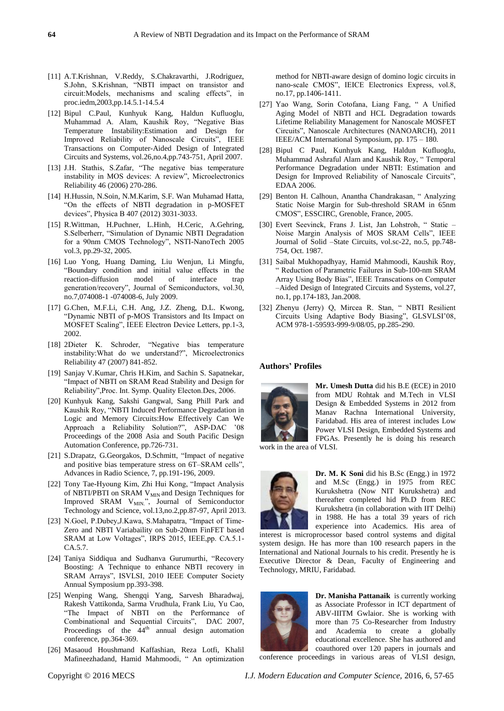- [11] A.T.Krishnan, V.Reddy, S.Chakravarthi, J.Rodriguez, S.John, S.Krishnan, "NBTI impact on transistor and circuit:Models, mechanisms and scaling effects", in proc.iedm,2003,pp.14.5.1-14.5.4
- [12] Bipul C.Paul, Kunhyuk Kang, Haldun Kufluoglu, Muhammad A. Alam, Kaushik Roy, "Negative Bias Temperature Instability:Estimation and Design for Improved Reliability of Nanoscale Circuits", IEEE Transactions on Computer-Aided Design of Integrated Circuits and Systems, vol.26,no.4,pp.743-751, April 2007.
- [13] J.H. Stathis, S.Zafar, "The negative bias temperature instability in MOS devices: A review", Microelectronics Reliability 46 (2006) 270-286.
- [14] H.Hussin, N.Soin, N.M.Karim, S.F. Wan Muhamad Hatta, "On the effects of NBTI degradation in p-MOSFET devices", Physica B 407 (2012) 3031-3033.
- [15] R.Wittman, H.Puchner, L.Hinh, H.Ceric, A.Gehring, S.Selberherr, "Simulation of Dynamic NBTI Degradation for a 90nm CMOS Technology", NSTI-NanoTech 2005 vol.3, pp.29-32, 2005.
- [16] Luo Yong, Huang Daming, Liu Wenjun, Li Mingfu, "Boundary condition and initial value effects in the reaction-diffusion model of interface trap generation/recovery", Journal of Semiconductors, vol.30, no.7,074008-1 -074008-6, July 2009.
- [17] G.Chen, M.F.Li, C.H. Ang, J.Z. Zheng, D.L. Kwong, "Dynamic NBTI of p-MOS Transistors and Its Impact on MOSFET Scaling", IEEE Electron Device Letters, pp.1-3, 2002.
- [18] 2Dieter K. Schroder, "Negative bias temperature instability:What do we understand?", Microelectronics Reliability 47 (2007) 841-852.
- [19] Sanjay V.Kumar, Chris H.Kim, and Sachin S. Sapatnekar, "Impact of NBTI on SRAM Read Stability and Design for Reliability",Proc. Int. Symp. Quality Electon.Des, 2006.
- [20] Kunhyuk Kang, Sakshi Gangwal, Sang Phill Park and Kaushik Roy, "NBTI Induced Performance Degradation in Logic and Memory Circuits:How Effectively Can We Approach a Reliability Solution?", ASP-DAC "08 Proceedings of the 2008 Asia and South Pacific Design Automation Conference, pp.726-731.
- [21] S.Drapatz, G.Georgakos, D.Schmitt, "Impact of negative and positive bias temperature stress on 6T–SRAM cells", Advances in Radio Science, 7, pp.191-196, 2009.
- [22] Tony Tae-Hyoung Kim, Zhi Hui Kong, "Impact Analysis of NBTI/PBTI on SRAM V<sub>MIN</sub> and Design Techniques for Improved SRAM V<sub>MIN.</sub>", Journal of Semiconductor Technology and Science, vol.13,no.2,pp.87-97, April 2013.
- [23] N.Goel, P.Dubey,J.Kawa, S.Mahapatra, "Impact of Time-Zero and NBTI Variabaility on Sub-20nm FinFET based SRAM at Low Voltages", IRPS 2015, IEEE,pp. CA.5.1- CA.5.7.
- [24] Taniya Siddiqua and Sudhanva Gurumurthi, "Recovery Boosting: A Technique to enhance NBTI recovery in SRAM Arrays", ISVLSI, 2010 IEEE Computer Society Annual Symposium pp.393-398.
- [25] Wenping Wang, Shengqi Yang, Sarvesh Bharadwaj, Rakesh Vattikonda, Sarma Vrudhula, Frank Liu, Yu Cao, "The Impact of NBTI on the Performance of Combinational and Sequential Circuits", DAC 2007, Proceedings of the  $44<sup>th</sup>$  annual design automation conference, pp.364-369.
- [26] Masaoud Houshmand Kaffashian, Reza Lotfi, Khalil Mafineezhadand, Hamid Mahmoodi, " An optimization

method for NBTI-aware design of domino logic circuits in nano-scale CMOS", IEICE Electronics Express, vol.8, no.17, pp.1406-1411.

- [27] Yao Wang, Sorin Cotofana, Liang Fang, " A Unified Aging Model of NBTI and HCL Degradation towards Lifetime Reliability Management for Nanoscale MOSFET Circuits", Nanoscale Architectures (NANOARCH), 2011 IEEE/ACM International Symposium, pp. 175 – 180.
- [28] Bipul C Paul, Kunhyuk Kang, Haldun Kufluoglu, Muhammad Ashraful Alam and Kaushik Roy, " Temporal Performance Degradation under NBTI: Estimation and Design for Improved Reliability of Nanoscale Circuits", EDAA 2006.
- [29] Benton H. Calhoun, Anantha Chandrakasan, " Analyzing Static Noise Margin for Sub-threshold SRAM in 65nm CMOS", ESSCIRC, Grenoble, France, 2005.
- [30] Evert Seevinck, Frans J. List, Jan Lohstroh, " Static Noise Margin Analysis of MOS SRAM Cells", IEEE Journal of Solid –State Circuits, vol.sc-22, no.5, pp.748- 754, Oct. 1987.
- [31] Saibal Mukhopadhyay, Hamid Mahmoodi, Kaushik Roy, " Reduction of Parametric Failures in Sub-100-nm SRAM Array Using Body Bias", IEEE Transcations on Computer –Aided Design of Integrated Circuits and Systems, vol.27, no.1, pp.174-183, Jan.2008.
- [32] Zhenyu (Jerry) Q, Mircea R. Stan, " NBTI Resilient Circuits Using Adaptive Body Biasing", GLSVLSI"08, ACM 978-1-59593-999-9/08/05, pp.285-290.

## **Authors' Profiles**



**Mr. Umesh Dutta** did his B.E (ECE) in 2010 from MDU Rohtak and M.Tech in VLSI Design & Embedded Systems in 2012 from Manav Rachna International University, Faridabad. His area of interest includes Low Power VLSI Design, Embedded Systems and FPGAs. Presently he is doing his research

work in the area of VLSI.



**Dr. M. K Soni** did his B.Sc (Engg.) in 1972 and M.Sc (Engg.) in 1975 from REC Kurukshetra (Now NIT Kurukshetra) and thereafter completed hid Ph.D from REC Kurukshetra (in collaboration with IIT Delhi) in 1988. He has a total 39 years of rich experience into Academics. His area of

interest is microprocessor based control systems and digital system design. He has more than 100 research papers in the International and National Journals to his credit. Presently he is Executive Director & Dean, Faculty of Engineering and Technology, MRIU, Faridabad.



**Dr. Manisha Pattanaik** is currently working as Associate Professor in ICT department of ABV-IIITM Gwlaior. She is working with more than 75 Co-Researcher from Industry and Academia to create a globally educational excellence. She has authored and coauthored over 120 papers in journals and

conference proceedings in various areas of VLSI design,